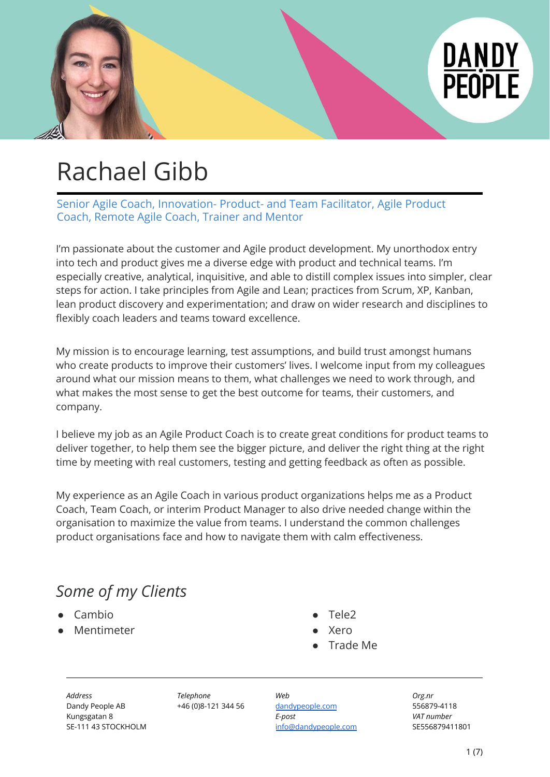

## Rachael Gibb

Senior Agile Coach, Innovation- Product- and Team Facilitator, Agile Product Coach, Remote Agile Coach, Trainer and Mentor

I'm passionate about the customer and Agile product development. My unorthodox entry into tech and product gives me a diverse edge with product and technical teams. I'm especially creative, analytical, inquisitive, and able to distill complex issues into simpler, clear steps for action. I take principles from Agile and Lean; practices from Scrum, XP, Kanban, lean product discovery and experimentation; and draw on wider research and disciplines to flexibly coach leaders and teams toward excellence.

My mission is to encourage learning, test assumptions, and build trust amongst humans who create products to improve their customers' lives. I welcome input from my colleagues around what our mission means to them, what challenges we need to work through, and what makes the most sense to get the best outcome for teams, their customers, and company.

I believe my job as an Agile Product Coach is to create great conditions for product teams to deliver together, to help them see the bigger picture, and deliver the right thing at the right time by meeting with real customers, testing and getting feedback as often as possible.

My experience as an Agile Coach in various product organizations helps me as a Product Coach, Team Coach, or interim Product Manager to also drive needed change within the organisation to maximize the value from teams. I understand the common challenges product organisations face and how to navigate them with calm effectiveness.

## *Some of my Clients*

- Cambio
- Mentimeter
- Tele<sub>2</sub>
- **Xero**
- Trade Me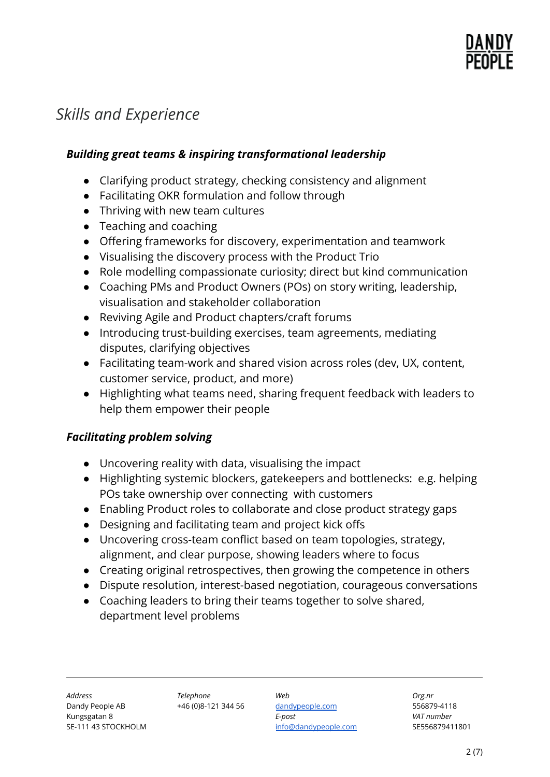

### *Skills and Experience*

#### *Building great teams & inspiring transformational leadership*

- Clarifying product strategy, checking consistency and alignment
- Facilitating OKR formulation and follow through
- Thriving with new team cultures
- Teaching and coaching
- Offering frameworks for discovery, experimentation and teamwork
- Visualising the discovery process with the Product Trio
- Role modelling compassionate curiosity; direct but kind communication
- Coaching PMs and Product Owners (POs) on story writing, leadership, visualisation and stakeholder collaboration
- Reviving Agile and Product chapters/craft forums
- Introducing trust-building exercises, team agreements, mediating disputes, clarifying objectives
- Facilitating team-work and shared vision across roles (dev, UX, content, customer service, product, and more)
- Highlighting what teams need, sharing frequent feedback with leaders to help them empower their people

#### *Facilitating problem solving*

- Uncovering reality with data, visualising the impact
- Highlighting systemic blockers, gatekeepers and bottlenecks: e.g. helping POs take ownership over connecting with customers
- Enabling Product roles to collaborate and close product strategy gaps
- Designing and facilitating team and project kick offs
- Uncovering cross-team conflict based on team topologies, strategy, alignment, and clear purpose, showing leaders where to focus
- Creating original retrospectives, then growing the competence in others
- Dispute resolution, interest-based negotiation, courageous conversations
- Coaching leaders to bring their teams together to solve shared, department level problems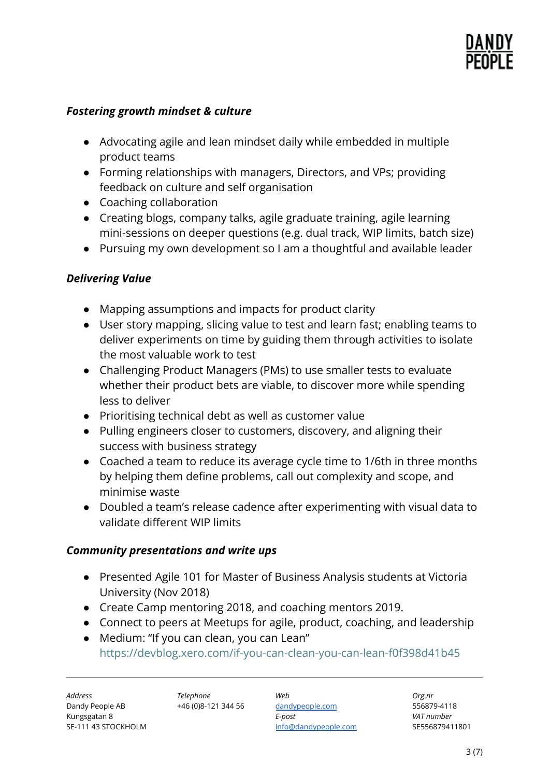

#### *Fostering growth mindset & culture*

- Advocating agile and lean mindset daily while embedded in multiple product teams
- Forming relationships with managers, Directors, and VPs; providing feedback on culture and self organisation
- Coaching collaboration
- Creating blogs, company talks, agile graduate training, agile learning mini-sessions on deeper questions (e.g. dual track, WIP limits, batch size)
- Pursuing my own development so I am a thoughtful and available leader

#### *Delivering Value*

- Mapping assumptions and impacts for product clarity
- User story mapping, slicing value to test and learn fast; enabling teams to deliver experiments on time by guiding them through activities to isolate the most valuable work to test
- Challenging Product Managers (PMs) to use smaller tests to evaluate whether their product bets are viable, to discover more while spending less to deliver
- Prioritising technical debt as well as customer value
- Pulling engineers closer to customers, discovery, and aligning their success with business strategy
- Coached a team to reduce its average cycle time to 1/6th in three months by helping them define problems, call out complexity and scope, and minimise waste
- Doubled a team's release cadence after experimenting with visual data to validate different WIP limits

#### *Community presentations and write ups*

- Presented Agile 101 for Master of Business Analysis students at Victoria University (Nov 2018)
- Create Camp mentoring 2018, and coaching mentors 2019.
- Connect to peers at Meetups for agile, product, coaching, and leadership
- Medium: "If you can clean, you can Lean" <https://devblog.xero.com/if-you-can-clean-you-can-lean-f0f398d41b45>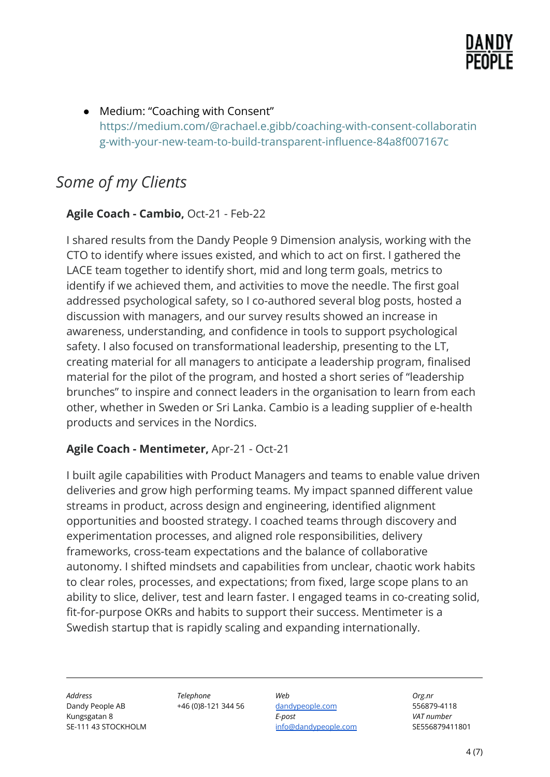

● Medium: "Coaching with Consent" [https://medium.com/@rachael.e.gibb/coaching-with-consent-collaboratin](https://medium.com/@rachael.e.gibb/coaching-with-consent-collaborating-with-your-new-team-to-build-transparent-influence-84a8f007167c) [g-with-your-new-team-to-build-transparent-influence-84a8f007167c](https://medium.com/@rachael.e.gibb/coaching-with-consent-collaborating-with-your-new-team-to-build-transparent-influence-84a8f007167c)

## *Some of my Clients*

#### **Agile Coach - Cambio,** Oct-21 - Feb-22

I shared results from the Dandy People 9 Dimension analysis, working with the CTO to identify where issues existed, and which to act on first. I gathered the LACE team together to identify short, mid and long term goals, metrics to identify if we achieved them, and activities to move the needle. The first goal addressed psychological safety, so I co-authored several blog posts, hosted a discussion with managers, and our survey results showed an increase in awareness, understanding, and confidence in tools to support psychological safety. I also focused on transformational leadership, presenting to the LT, creating material for all managers to anticipate a leadership program, finalised material for the pilot of the program, and hosted a short series of "leadership brunches" to inspire and connect leaders in the organisation to learn from each other, whether in Sweden or Sri Lanka. Cambio is a leading supplier of e-health products and services in the Nordics.

#### **Agile Coach - Mentimeter,** Apr-21 - Oct-21

I built agile capabilities with Product Managers and teams to enable value driven deliveries and grow high performing teams. My impact spanned different value streams in product, across design and engineering, identified alignment opportunities and boosted strategy. I coached teams through discovery and experimentation processes, and aligned role responsibilities, delivery frameworks, cross-team expectations and the balance of collaborative autonomy. I shifted mindsets and capabilities from unclear, chaotic work habits to clear roles, processes, and expectations; from fixed, large scope plans to an ability to slice, deliver, test and learn faster. I engaged teams in co-creating solid, fit-for-purpose OKRs and habits to support their success. Mentimeter is a Swedish startup that is rapidly scaling and expanding internationally.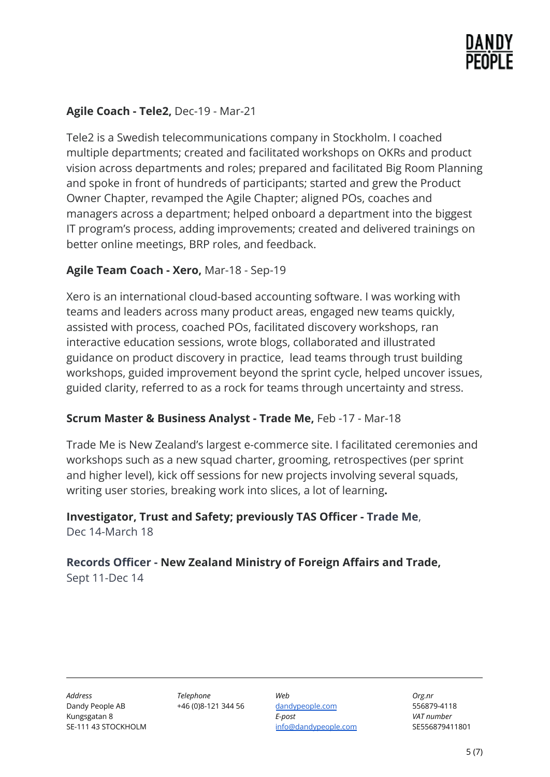

#### **Agile Coach - Tele2,** Dec-19 - Mar-21

Tele2 is a Swedish telecommunications company in Stockholm. I coached multiple departments; created and facilitated workshops on OKRs and product vision across departments and roles; prepared and facilitated Big Room Planning and spoke in front of hundreds of participants; started and grew the Product Owner Chapter, revamped the Agile Chapter; aligned POs, coaches and managers across a department; helped onboard a department into the biggest IT program's process, adding improvements; created and delivered trainings on better online meetings, BRP roles, and feedback.

#### **Agile Team Coach - Xero,** Mar-18 - Sep-19

Xero is an international cloud-based accounting software. I was working with teams and leaders across many product areas, engaged new teams quickly, assisted with process, coached POs, facilitated discovery workshops, ran interactive education sessions, wrote blogs, collaborated and illustrated guidance on product discovery in practice, lead teams through trust building workshops, guided improvement beyond the sprint cycle, helped uncover issues, guided clarity, referred to as a rock for teams through uncertainty and stress.

#### **Scrum Master & Business Analyst - Trade Me,** Feb -17 - Mar-18

Trade Me is New Zealand's largest e-commerce site. I facilitated ceremonies and workshops such as a new squad charter, grooming, retrospectives (per sprint and higher level), kick off sessions for new projects involving several squads, writing user stories, breaking work into slices, a lot of learning**.**

#### **Investigator, Trust and Safety; previously TAS Officer - Trade Me**, Dec 14-March 18

#### **Records Officer - New Zealand Ministry of Foreign Affairs and Trade,** Sept 11-Dec 14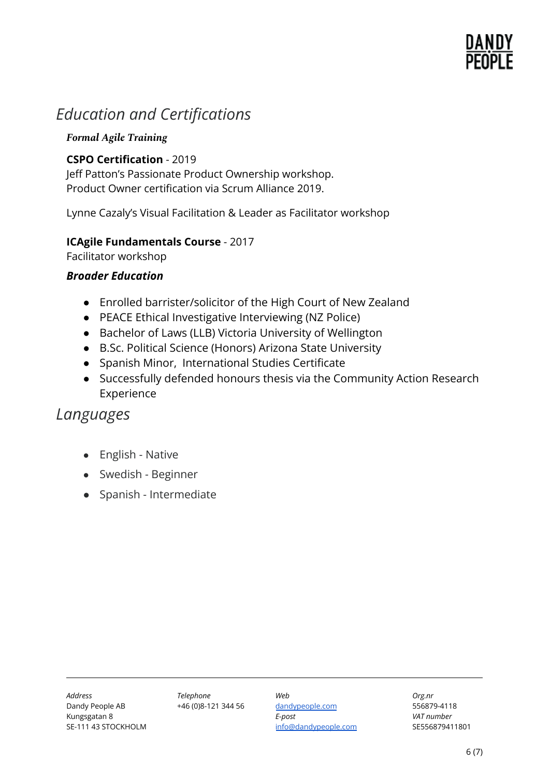# DANDY

## *Education and Certifications*

#### *Formal Agile Training*

#### **CSPO Certification** - 2019

Jeff Patton's Passionate Product Ownership workshop. Product Owner certification via Scrum Alliance 2019.

Lynne Cazaly's Visual Facilitation & Leader as Facilitator workshop

#### **ICAgile Fundamentals Course** - 2017

Facilitator workshop

#### *Broader Education*

- Enrolled barrister/solicitor of the High Court of New Zealand
- PEACE Ethical Investigative Interviewing (NZ Police)
- Bachelor of Laws (LLB) Victoria University of Wellington
- B.Sc. Political Science (Honors) Arizona State University
- Spanish Minor, International Studies Certificate
- Successfully defended honours thesis via the Community Action Research Experience

### *Languages*

- English Native
- Swedish Beginner
- Spanish Intermediate